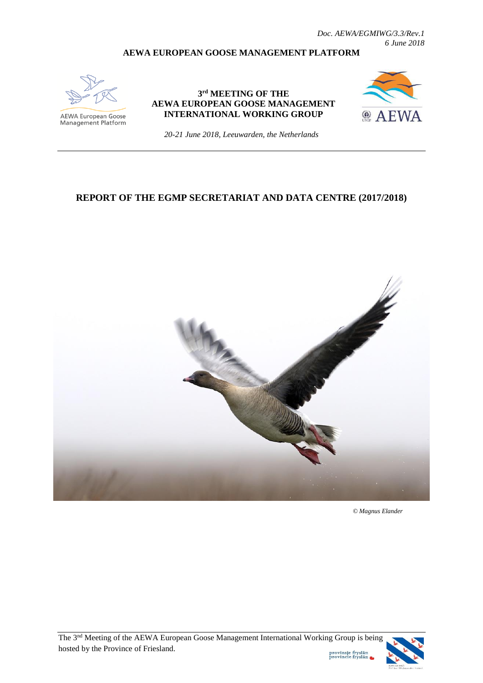#### **AEWA EUROPEAN GOOSE MANAGEMENT PLATFORM**



AEWA European Goose Management Platform

#### **3 rd MEETING OF THE AEWA EUROPEAN GOOSE MANAGEMENT INTERNATIONAL WORKING GROUP**



*20-21 June 2018, Leeuwarden, the Netherlands*

#### **REPORT OF THE EGMP SECRETARIAT AND DATA CENTRE (2017/2018)**



 *© Magnus Elander*

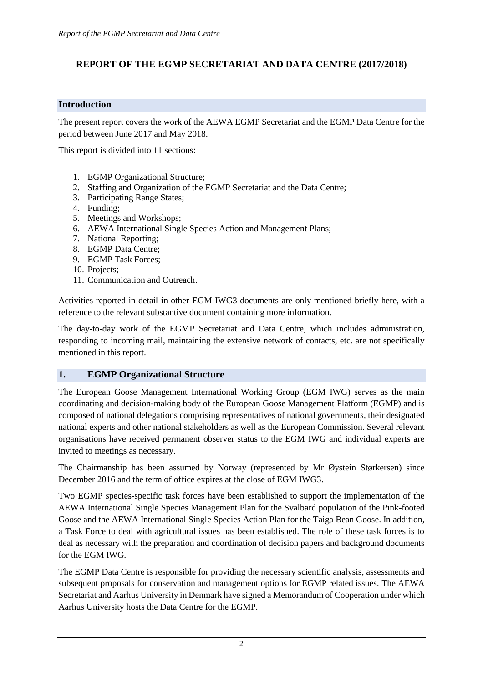# **REPORT OF THE EGMP SECRETARIAT AND DATA CENTRE (2017/2018)**

## **Introduction**

The present report covers the work of the AEWA EGMP Secretariat and the EGMP Data Centre for the period between June 2017 and May 2018.

This report is divided into 11 sections:

- 1. EGMP Organizational Structure;
- 2. Staffing and Organization of the EGMP Secretariat and the Data Centre;
- 3. Participating Range States;
- 4. Funding;
- 5. Meetings and Workshops;
- 6. AEWA International Single Species Action and Management Plans;
- 7. National Reporting;
- 8. EGMP Data Centre;
- 9. EGMP Task Forces;
- 10. Projects;
- 11. Communication and Outreach.

Activities reported in detail in other EGM IWG3 documents are only mentioned briefly here, with a reference to the relevant substantive document containing more information.

The day-to-day work of the EGMP Secretariat and Data Centre, which includes administration, responding to incoming mail, maintaining the extensive network of contacts, etc. are not specifically mentioned in this report.

## **1. EGMP Organizational Structure**

The European Goose Management International Working Group (EGM IWG) serves as the main coordinating and decision-making body of the European Goose Management Platform (EGMP) and is composed of national delegations comprising representatives of national governments, their designated national experts and other national stakeholders as well as the European Commission. Several relevant organisations have received permanent observer status to the EGM IWG and individual experts are invited to meetings as necessary.

The Chairmanship has been assumed by Norway (represented by Mr Øystein Størkersen) since December 2016 and the term of office expires at the close of EGM IWG3.

Two EGMP species-specific task forces have been established to support the implementation of the AEWA International Single Species Management Plan for the Svalbard population of the Pink-footed Goose and the AEWA International Single Species Action Plan for the Taiga Bean Goose. In addition, a Task Force to deal with agricultural issues has been established. The role of these task forces is to deal as necessary with the preparation and coordination of decision papers and background documents for the EGM IWG.

The EGMP Data Centre is responsible for providing the necessary scientific analysis, assessments and subsequent proposals for conservation and management options for EGMP related issues. The AEWA Secretariat and Aarhus University in Denmark have signed a Memorandum of Cooperation under which Aarhus University hosts the Data Centre for the EGMP.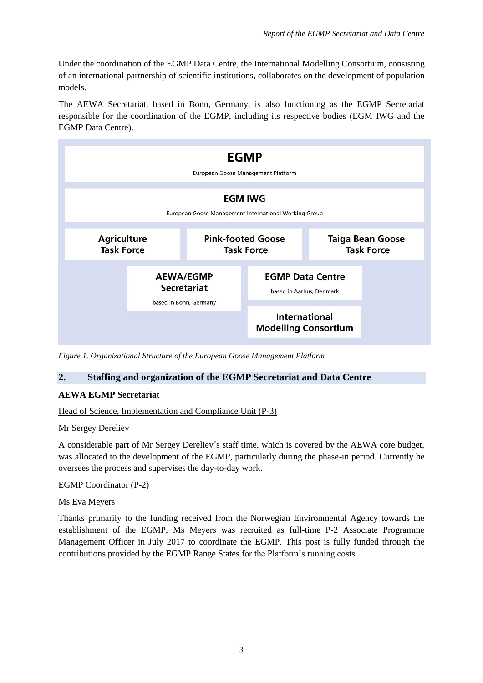Under the coordination of the EGMP Data Centre, the International Modelling Consortium, consisting of an international partnership of scientific institutions, collaborates on the development of population models.

The AEWA Secretariat, based in Bonn, Germany, is also functioning as the EGMP Secretariat responsible for the coordination of the EGMP, including its respective bodies (EGM IWG and the EGMP Data Centre).



*Figure 1. Organizational Structure of the European Goose Management Platform*

## **2. Staffing and organization of the EGMP Secretariat and Data Centre**

## **AEWA EGMP Secretariat**

## Head of Science, Implementation and Compliance Unit (P-3)

## Mr Sergey Dereliev

A considerable part of Mr Sergey Dereliev´s staff time, which is covered by the AEWA core budget, was allocated to the development of the EGMP, particularly during the phase-in period. Currently he oversees the process and supervises the day-to-day work.

## EGMP Coordinator (P-2)

## Ms Eva Meyers

Thanks primarily to the funding received from the Norwegian Environmental Agency towards the establishment of the EGMP, Ms Meyers was recruited as full-time P-2 Associate Programme Management Officer in July 2017 to coordinate the EGMP. This post is fully funded through the contributions provided by the EGMP Range States for the Platform's running costs.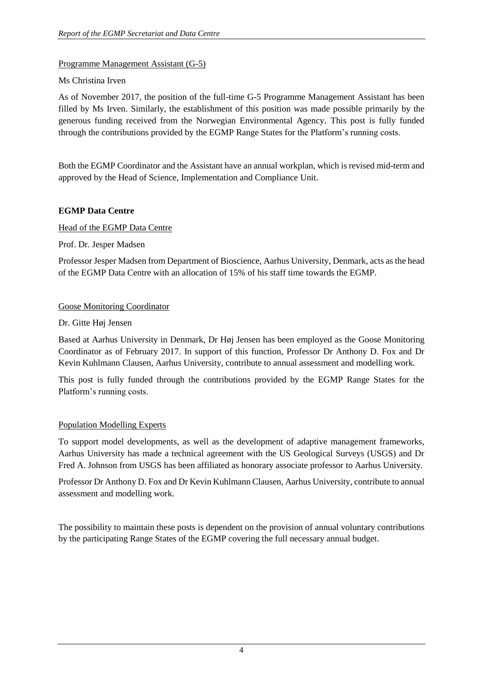## Programme Management Assistant (G-5)

#### Ms Christina Irven

As of November 2017, the position of the full-time G-5 Programme Management Assistant has been filled by Ms Irven. Similarly, the establishment of this position was made possible primarily by the generous funding received from the Norwegian Environmental Agency. This post is fully funded through the contributions provided by the EGMP Range States for the Platform's running costs.

Both the EGMP Coordinator and the Assistant have an annual workplan, which is revised mid-term and approved by the Head of Science, Implementation and Compliance Unit.

#### **EGMP Data Centre**

#### Head of the EGMP Data Centre

Prof. Dr. Jesper Madsen

Professor Jesper Madsen from Department of Bioscience, Aarhus University, Denmark, acts as the head of the EGMP Data Centre with an allocation of 15% of his staff time towards the EGMP.

#### Goose Monitoring Coordinator

#### Dr. Gitte Høj Jensen

Based at Aarhus University in Denmark, Dr Høj Jensen has been employed as the Goose Monitoring Coordinator as of February 2017. In support of this function, Professor Dr Anthony D. Fox and Dr Kevin Kuhlmann Clausen, Aarhus University, contribute to annual assessment and modelling work.

This post is fully funded through the contributions provided by the EGMP Range States for the Platform's running costs.

## Population Modelling Experts

To support model developments, as well as the development of adaptive management frameworks, Aarhus University has made a technical agreement with the US Geological Surveys (USGS) and Dr Fred A. Johnson from USGS has been affiliated as honorary associate professor to Aarhus University.

Professor Dr Anthony D. Fox and Dr Kevin Kuhlmann Clausen, Aarhus University, contribute to annual assessment and modelling work.

The possibility to maintain these posts is dependent on the provision of annual voluntary contributions by the participating Range States of the EGMP covering the full necessary annual budget.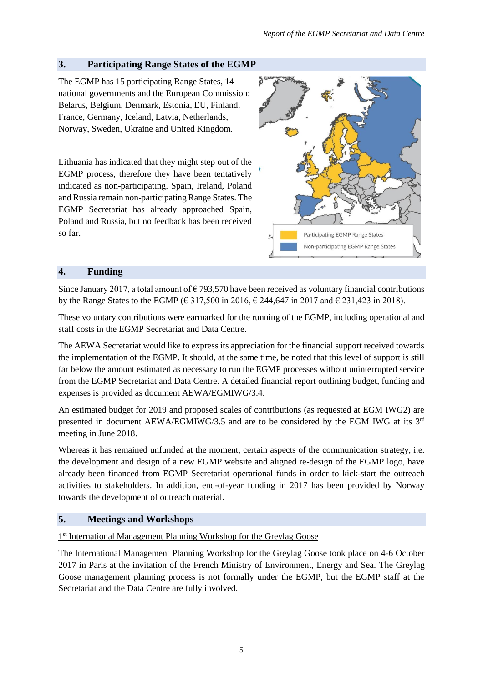# **3. Participating Range States of the EGMP**

The EGMP has 15 participating Range States, 14 national governments and the European Commission: Belarus, Belgium, Denmark, Estonia, EU, Finland, France, Germany, Iceland, Latvia, Netherlands, Norway, Sweden, Ukraine and United Kingdom.

Lithuania has indicated that they might step out of the EGMP process, therefore they have been tentatively indicated as non-participating. Spain, Ireland, Poland and Russia remain non-participating Range States. The EGMP Secretariat has already approached Spain, Poland and Russia, but no feedback has been received so far.



## **4. Funding**

Since January 2017, a total amount of  $\epsilon$  793,570 have been received as voluntary financial contributions by the Range States to the EGMP ( $\epsilon$  317,500 in 2016,  $\epsilon$  244,647 in 2017 and  $\epsilon$  231,423 in 2018).

These voluntary contributions were earmarked for the running of the EGMP, including operational and staff costs in the EGMP Secretariat and Data Centre.

The AEWA Secretariat would like to express its appreciation for the financial support received towards the implementation of the EGMP. It should, at the same time, be noted that this level of support is still far below the amount estimated as necessary to run the EGMP processes without uninterrupted service from the EGMP Secretariat and Data Centre. A detailed financial report outlining budget, funding and expenses is provided as document AEWA/EGMIWG/3.4.

An estimated budget for 2019 and proposed scales of contributions (as requested at EGM IWG2) are presented in document AEWA/EGMIWG/3.5 and are to be considered by the EGM IWG at its  $3^{rd}$ meeting in June 2018.

Whereas it has remained unfunded at the moment, certain aspects of the communication strategy, i.e. the development and design of a new EGMP website and aligned re-design of the EGMP logo, have already been financed from EGMP Secretariat operational funds in order to kick-start the outreach activities to stakeholders. In addition, end-of-year funding in 2017 has been provided by Norway towards the development of outreach material.

## **5. Meetings and Workshops**

## 1<sup>st</sup> International Management Planning Workshop for the Greylag Goose

The International Management Planning Workshop for the Greylag Goose took place on 4-6 October 2017 in Paris at the invitation of the French Ministry of Environment, Energy and Sea. The Greylag Goose management planning process is not formally under the EGMP, but the EGMP staff at the Secretariat and the Data Centre are fully involved.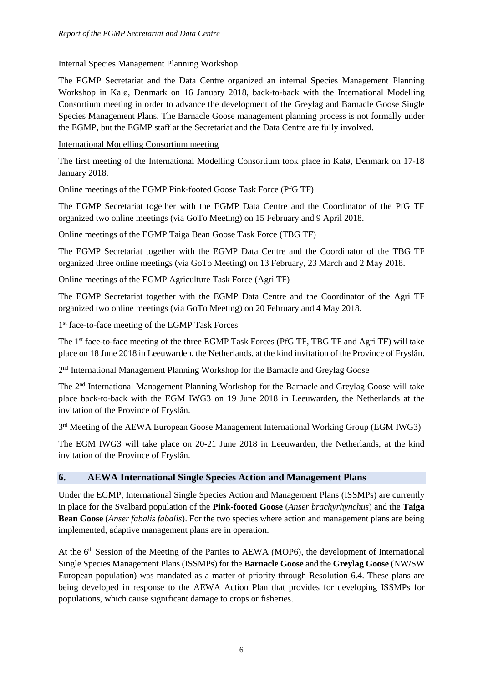## Internal Species Management Planning Workshop

The EGMP Secretariat and the Data Centre organized an internal Species Management Planning Workshop in Kalø, Denmark on 16 January 2018, back-to-back with the International Modelling Consortium meeting in order to advance the development of the Greylag and Barnacle Goose Single Species Management Plans. The Barnacle Goose management planning process is not formally under the EGMP, but the EGMP staff at the Secretariat and the Data Centre are fully involved.

### International Modelling Consortium meeting

The first meeting of the International Modelling Consortium took place in Kalø, Denmark on 17-18 January 2018.

#### Online meetings of the EGMP Pink-footed Goose Task Force (PfG TF)

The EGMP Secretariat together with the EGMP Data Centre and the Coordinator of the PfG TF organized two online meetings (via GoTo Meeting) on 15 February and 9 April 2018.

#### Online meetings of the EGMP Taiga Bean Goose Task Force (TBG TF)

The EGMP Secretariat together with the EGMP Data Centre and the Coordinator of the TBG TF organized three online meetings (via GoTo Meeting) on 13 February, 23 March and 2 May 2018.

## Online meetings of the EGMP Agriculture Task Force (Agri TF)

The EGMP Secretariat together with the EGMP Data Centre and the Coordinator of the Agri TF organized two online meetings (via GoTo Meeting) on 20 February and 4 May 2018.

1<sup>st</sup> face-to-face meeting of the EGMP Task Forces

The 1<sup>st</sup> face-to-face meeting of the three EGMP Task Forces (PfG TF, TBG TF and Agri TF) will take place on 18 June 2018 in Leeuwarden, the Netherlands, at the kind invitation of the Province of Fryslân.

2<sup>nd</sup> International Management Planning Workshop for the Barnacle and Greylag Goose

The 2nd International Management Planning Workshop for the Barnacle and Greylag Goose will take place back-to-back with the EGM IWG3 on 19 June 2018 in Leeuwarden, the Netherlands at the invitation of the Province of Fryslân.

3<sup>rd</sup> Meeting of the AEWA European Goose Management International Working Group (EGM IWG3)

The EGM IWG3 will take place on 20-21 June 2018 in Leeuwarden, the Netherlands, at the kind invitation of the Province of Fryslân.

## **6. AEWA International Single Species Action and Management Plans**

Under the EGMP, International Single Species Action and Management Plans (ISSMPs) are currently in place for the Svalbard population of the **Pink-footed Goose** (*Anser brachyrhynchus*) and the **Taiga Bean Goose** (*Anser fabalis fabalis*). For the two species where action and management plans are being implemented, adaptive management plans are in operation.

At the  $6<sup>th</sup>$  Session of the Meeting of the Parties to AEWA (MOP6), the development of International Single Species Management Plans (ISSMPs) for the **Barnacle Goose** and the **Greylag Goose** (NW/SW European population) was mandated as a matter of priority through Resolution 6.4. These plans are being developed in response to the AEWA Action Plan that provides for developing ISSMPs for populations, which cause significant damage to crops or fisheries.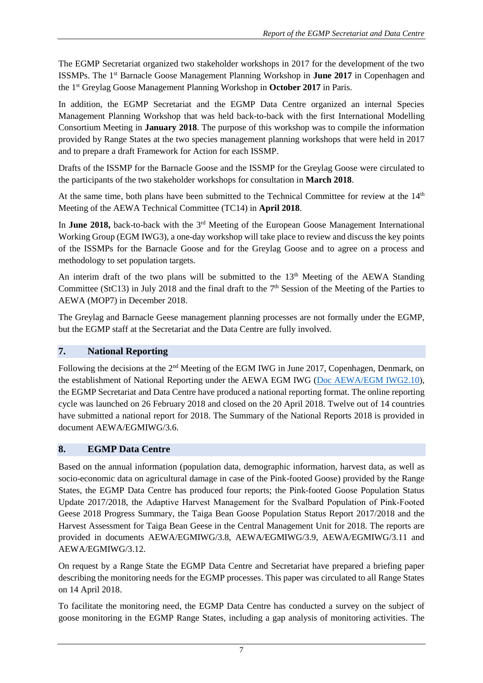The EGMP Secretariat organized two stakeholder workshops in 2017 for the development of the two ISSMPs. The 1st Barnacle Goose Management Planning Workshop in **June 2017** in Copenhagen and the 1st Greylag Goose Management Planning Workshop in **October 2017** in Paris.

In addition, the EGMP Secretariat and the EGMP Data Centre organized an internal Species Management Planning Workshop that was held back-to-back with the first International Modelling Consortium Meeting in **January 2018**. The purpose of this workshop was to compile the information provided by Range States at the two species management planning workshops that were held in 2017 and to prepare a draft Framework for Action for each ISSMP.

Drafts of the ISSMP for the Barnacle Goose and the ISSMP for the Greylag Goose were circulated to the participants of the two stakeholder workshops for consultation in **March 2018**.

At the same time, both plans have been submitted to the Technical Committee for review at the  $14<sup>th</sup>$ Meeting of the AEWA Technical Committee (TC14) in **April 2018**.

In **June 2018**, back-to-back with the 3<sup>rd</sup> Meeting of the European Goose Management International Working Group (EGM IWG3), a one-day workshop will take place to review and discuss the key points of the ISSMPs for the Barnacle Goose and for the Greylag Goose and to agree on a process and methodology to set population targets.

An interim draft of the two plans will be submitted to the  $13<sup>th</sup>$  Meeting of the AEWA Standing Committee (StC13) in July 2018 and the final draft to the  $7<sup>th</sup>$  Session of the Meeting of the Parties to AEWA (MOP7) in December 2018.

The Greylag and Barnacle Geese management planning processes are not formally under the EGMP, but the EGMP staff at the Secretariat and the Data Centre are fully involved.

## **7. National Reporting**

Following the decisions at the 2<sup>nd</sup> Meeting of the EGM IWG in June 2017, Copenhagen, Denmark, on the establishment of National Reporting under the AEWA EGM IWG [\(Doc AEWA/EGM IWG2.10\)](https://emea01.safelinks.protection.outlook.com/?url=http%3A%2F%2Fwww.unep-aewa.org%2Fsites%2Fdefault%2Ffiles%2Fdocument%2Faewa_egm_iwg_2_10_reporting.pdf&data=02%7C01%7CDavid.Stroud%40jncc.gov.uk%7C31803db330ee42c0831d08d54dda314d%7C444ee4e8b2fd491d8c318b0508370a6b%7C1%7C1%7C636500521928456491&sdata=CNxXCEYxgGZgxlaF9G%2BbC7ncXvu6F8A3nd0x0PMdb6Q%3D&reserved=0), the EGMP Secretariat and Data Centre have produced a national reporting format. The online reporting cycle was launched on 26 February 2018 and closed on the 20 April 2018. Twelve out of 14 countries have submitted a national report for 2018. The Summary of the National Reports 2018 is provided in document AEWA/EGMIWG/3.6.

## **8. EGMP Data Centre**

Based on the annual information (population data, demographic information, harvest data, as well as socio-economic data on agricultural damage in case of the Pink-footed Goose) provided by the Range States, the EGMP Data Centre has produced four reports; the Pink-footed Goose Population Status Update 2017/2018, the Adaptive Harvest Management for the Svalbard Population of Pink‐Footed Geese 2018 Progress Summary, the Taiga Bean Goose Population Status Report 2017/2018 and the Harvest Assessment for Taiga Bean Geese in the Central Management Unit for 2018. The reports are provided in documents AEWA/EGMIWG/3.8, AEWA/EGMIWG/3.9, AEWA/EGMIWG/3.11 and AEWA/EGMIWG/3.12.

On request by a Range State the EGMP Data Centre and Secretariat have prepared a briefing paper describing the monitoring needs for the EGMP processes. This paper was circulated to all Range States on 14 April 2018.

To facilitate the monitoring need, the EGMP Data Centre has conducted a survey on the subject of goose monitoring in the EGMP Range States, including a gap analysis of monitoring activities. The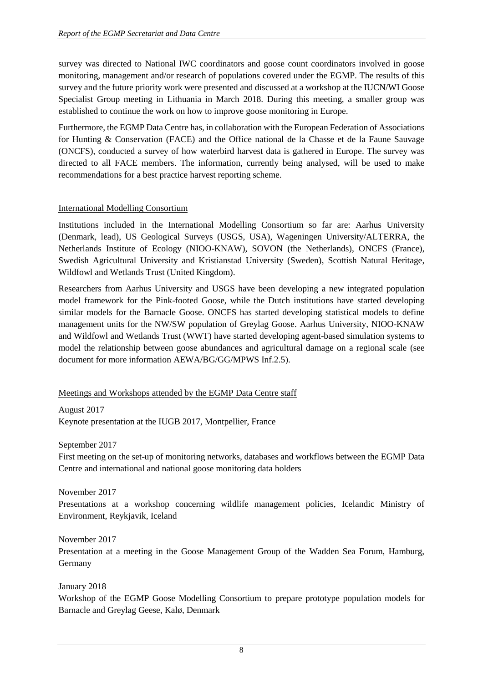survey was directed to National IWC coordinators and goose count coordinators involved in goose monitoring, management and/or research of populations covered under the EGMP. The results of this survey and the future priority work were presented and discussed at a workshop at the IUCN/WI Goose Specialist Group meeting in Lithuania in March 2018. During this meeting, a smaller group was established to continue the work on how to improve goose monitoring in Europe.

Furthermore, the EGMP Data Centre has, in collaboration with the European Federation of Associations for Hunting & Conservation (FACE) and the Office national de la Chasse et de la Faune Sauvage (ONCFS), conducted a survey of how waterbird harvest data is gathered in Europe. The survey was directed to all FACE members. The information, currently being analysed, will be used to make recommendations for a best practice harvest reporting scheme.

#### International Modelling Consortium

Institutions included in the International Modelling Consortium so far are: Aarhus University (Denmark, lead), US Geological Surveys (USGS, USA), Wageningen University/ALTERRA, the Netherlands Institute of Ecology (NIOO-KNAW), SOVON (the Netherlands), ONCFS (France), Swedish Agricultural University and Kristianstad University (Sweden), Scottish Natural Heritage, Wildfowl and Wetlands Trust (United Kingdom).

Researchers from Aarhus University and USGS have been developing a new integrated population model framework for the Pink-footed Goose, while the Dutch institutions have started developing similar models for the Barnacle Goose. ONCFS has started developing statistical models to define management units for the NW/SW population of Greylag Goose. Aarhus University, NIOO-KNAW and Wildfowl and Wetlands Trust (WWT) have started developing agent-based simulation systems to model the relationship between goose abundances and agricultural damage on a regional scale (see document for more information AEWA/BG/GG/MPWS Inf.2.5).

#### Meetings and Workshops attended by the EGMP Data Centre staff

August 2017 Keynote presentation at the IUGB 2017, Montpellier, France

September 2017

First meeting on the set-up of monitoring networks, databases and workflows between the EGMP Data Centre and international and national goose monitoring data holders

November 2017

Presentations at a workshop concerning wildlife management policies, Icelandic Ministry of Environment, Reykjavik, Iceland

November 2017 Presentation at a meeting in the Goose Management Group of the Wadden Sea Forum, Hamburg, Germany

January 2018

Workshop of the EGMP Goose Modelling Consortium to prepare prototype population models for Barnacle and Greylag Geese, Kalø, Denmark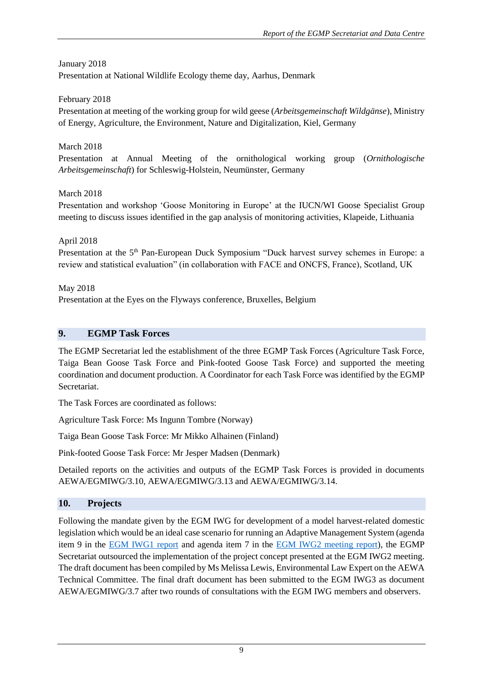## January 2018

Presentation at National Wildlife Ecology theme day, Aarhus, Denmark

## February 2018

Presentation at meeting of the working group for wild geese (*Arbeitsgemeinschaft Wildgänse*), Ministry of Energy, Agriculture, the Environment, Nature and Digitalization, Kiel, Germany

## March 2018

Presentation at Annual Meeting of the ornithological working group (*Ornithologische Arbeitsgemeinschaft*) for Schleswig-Holstein, Neumünster, Germany

## March 2018

Presentation and workshop 'Goose Monitoring in Europe' at the IUCN/WI Goose Specialist Group meeting to discuss issues identified in the gap analysis of monitoring activities, Klapeide, Lithuania

April 2018

Presentation at the 5<sup>th</sup> Pan-European Duck Symposium "Duck harvest survey schemes in Europe: a review and statistical evaluation" (in collaboration with FACE and ONCFS, France), Scotland, UK

May 2018 Presentation at the Eyes on the Flyways conference, Bruxelles, Belgium

## **9. EGMP Task Forces**

The EGMP Secretariat led the establishment of the three EGMP Task Forces (Agriculture Task Force, Taiga Bean Goose Task Force and Pink-footed Goose Task Force) and supported the meeting coordination and document production. A Coordinator for each Task Force was identified by the EGMP Secretariat.

The Task Forces are coordinated as follows:

Agriculture Task Force: Ms Ingunn Tombre (Norway)

Taiga Bean Goose Task Force: Mr Mikko Alhainen (Finland)

Pink-footed Goose Task Force: Mr Jesper Madsen (Denmark)

Detailed reports on the activities and outputs of the EGMP Task Forces is provided in documents AEWA/EGMIWG/3.10, AEWA/EGMIWG/3.13 and AEWA/EGMIWG/3.14.

## **10. Projects**

Following the mandate given by the EGM IWG for development of a model harvest-related domestic legislation which would be an ideal case scenario for running an Adaptive Management System (agenda item 9 in the **EGM IWG1** report and agenda item 7 in the **EGM IWG2** meeting report), the EGMP Secretariat outsourced the implementation of the project concept presented at the EGM IWG2 meeting. The draft document has been compiled by Ms Melissa Lewis, Environmental Law Expert on the AEWA Technical Committee. The final draft document has been submitted to the EGM IWG3 as document AEWA/EGMIWG/3.7 after two rounds of consultations with the EGM IWG members and observers.